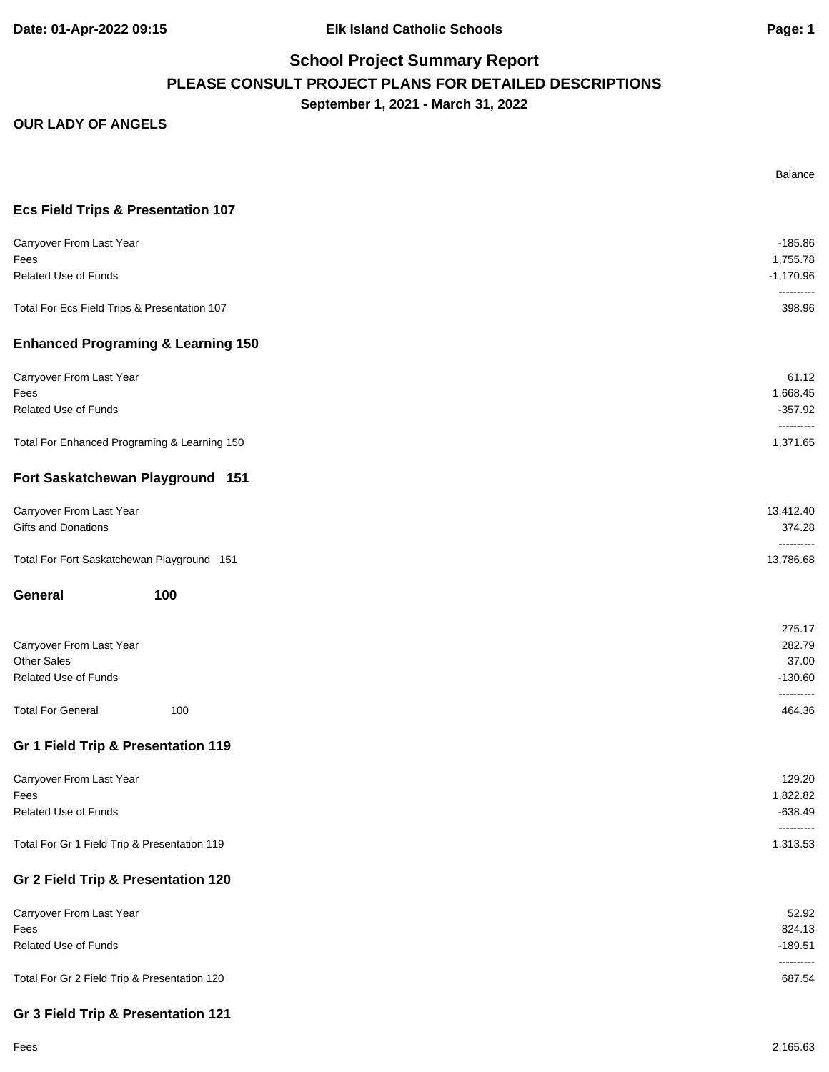**Date: 01-Apr-2022 09:15 Elk Island Catholic Schools Page: 1**

### **School Project Summary Report PLEASE CONSULT PROJECT PLANS FOR DETAILED DESCRIPTIONS September 1, 2021 - March 31, 2022**

|                                                                        | Balance                                       |
|------------------------------------------------------------------------|-----------------------------------------------|
| <b>Ecs Field Trips &amp; Presentation 107</b>                          |                                               |
| Carryover From Last Year<br>Fees<br>Related Use of Funds               | $-185.86$<br>1,755.78<br>$-1,170.96$          |
| Total For Ecs Field Trips & Presentation 107                           | ----------<br>398.96                          |
| <b>Enhanced Programing &amp; Learning 150</b>                          |                                               |
| Carryover From Last Year<br>Fees<br>Related Use of Funds               | 61.12<br>1,668.45<br>$-357.92$<br>----------  |
| Total For Enhanced Programing & Learning 150                           | 1,371.65                                      |
| Fort Saskatchewan Playground 151                                       |                                               |
| Carryover From Last Year<br>Gifts and Donations                        | 13,412.40<br>374.28<br>----------             |
| Total For Fort Saskatchewan Playground 151                             | 13,786.68                                     |
| General<br>100                                                         |                                               |
| Carryover From Last Year<br><b>Other Sales</b><br>Related Use of Funds | 275.17<br>282.79<br>37.00<br>$-130.60$        |
| <b>Total For General</b><br>100                                        | ----------<br>464.36                          |
| Gr 1 Field Trip & Presentation 119                                     |                                               |
| Carryover From Last Year<br>Fees<br>Related Use of Funds               | 129.20<br>1,822.82<br>$-638.49$<br>---------- |
| Total For Gr 1 Field Trip & Presentation 119                           | 1,313.53                                      |
| Gr 2 Field Trip & Presentation 120                                     |                                               |
| Carryover From Last Year<br>Fees<br>Related Use of Funds               | 52.92<br>824.13<br>$-189.51$<br>----------    |
| Total For Gr 2 Field Trip & Presentation 120                           | 687.54                                        |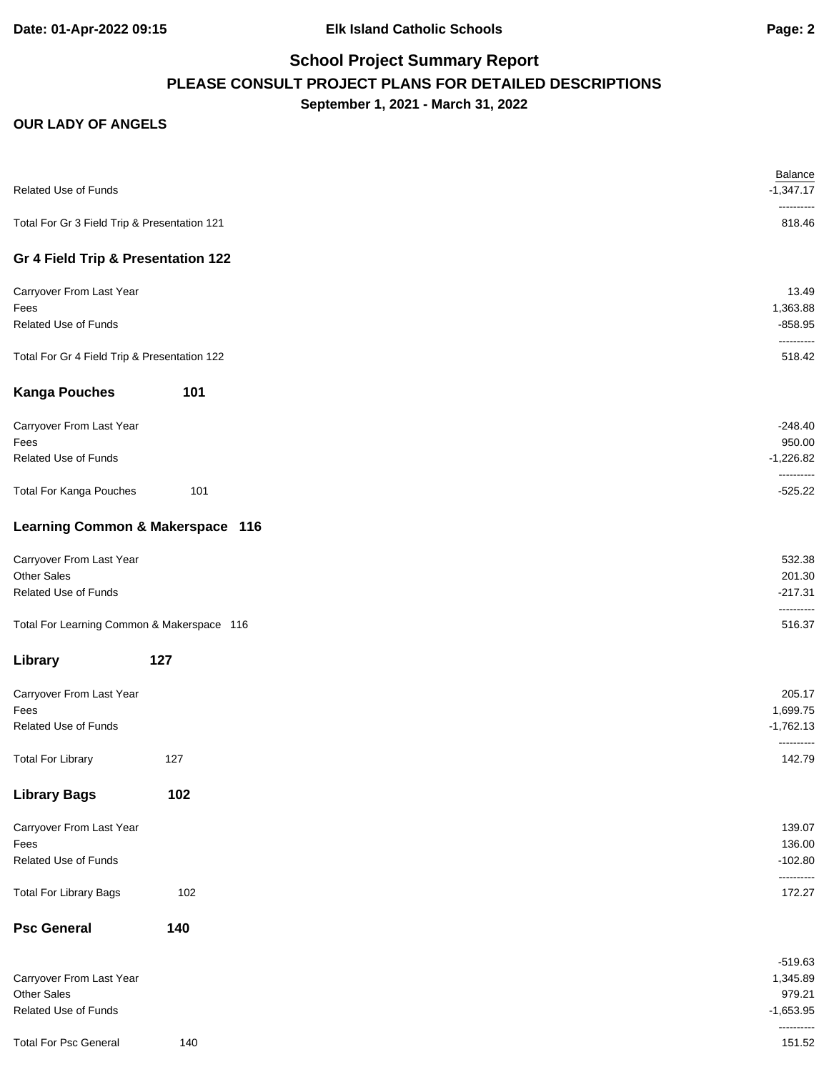# **School Project Summary Report PLEASE CONSULT PROJECT PLANS FOR DETAILED DESCRIPTIONS September 1, 2021 - March 31, 2022**

| Related Use of Funds                         |     | <b>Balance</b><br>$-1,347.17$<br>---------- |
|----------------------------------------------|-----|---------------------------------------------|
| Total For Gr 3 Field Trip & Presentation 121 |     | 818.46                                      |
| Gr 4 Field Trip & Presentation 122           |     |                                             |
| Carryover From Last Year                     |     | 13.49                                       |
| Fees                                         |     | 1,363.88                                    |
| <b>Related Use of Funds</b>                  |     | $-858.95$<br>----------                     |
| Total For Gr 4 Field Trip & Presentation 122 |     | 518.42                                      |
| <b>Kanga Pouches</b>                         | 101 |                                             |
| Carryover From Last Year                     |     | $-248.40$                                   |
| Fees                                         |     | 950.00                                      |
| Related Use of Funds                         |     | $-1,226.82$<br>----------                   |
| <b>Total For Kanga Pouches</b>               | 101 | $-525.22$                                   |
| Learning Common & Makerspace 116             |     |                                             |
| Carryover From Last Year                     |     | 532.38                                      |
| Other Sales                                  |     | 201.30                                      |
| Related Use of Funds                         |     | $-217.31$<br>----------                     |
| Total For Learning Common & Makerspace 116   |     | 516.37                                      |
| Library                                      | 127 |                                             |
| Carryover From Last Year                     |     | 205.17                                      |
| Fees                                         |     | 1,699.75                                    |
| Related Use of Funds                         |     | $-1,762.13$                                 |
| <b>Total For Library</b>                     | 127 | ----------<br>142.79                        |
| <b>Library Bags</b>                          | 102 |                                             |
| Carryover From Last Year                     |     | 139.07                                      |
| Fees                                         |     | 136.00                                      |
| Related Use of Funds                         |     | $-102.80$                                   |
| <b>Total For Library Bags</b>                | 102 | ----------<br>172.27                        |
| <b>Psc General</b>                           | 140 |                                             |
|                                              |     | $-519.63$                                   |
| Carryover From Last Year                     |     | 1,345.89                                    |
| Other Sales                                  |     | 979.21                                      |
| Related Use of Funds                         |     | $-1,653.95$<br>----------                   |
| <b>Total For Psc General</b>                 | 140 | 151.52                                      |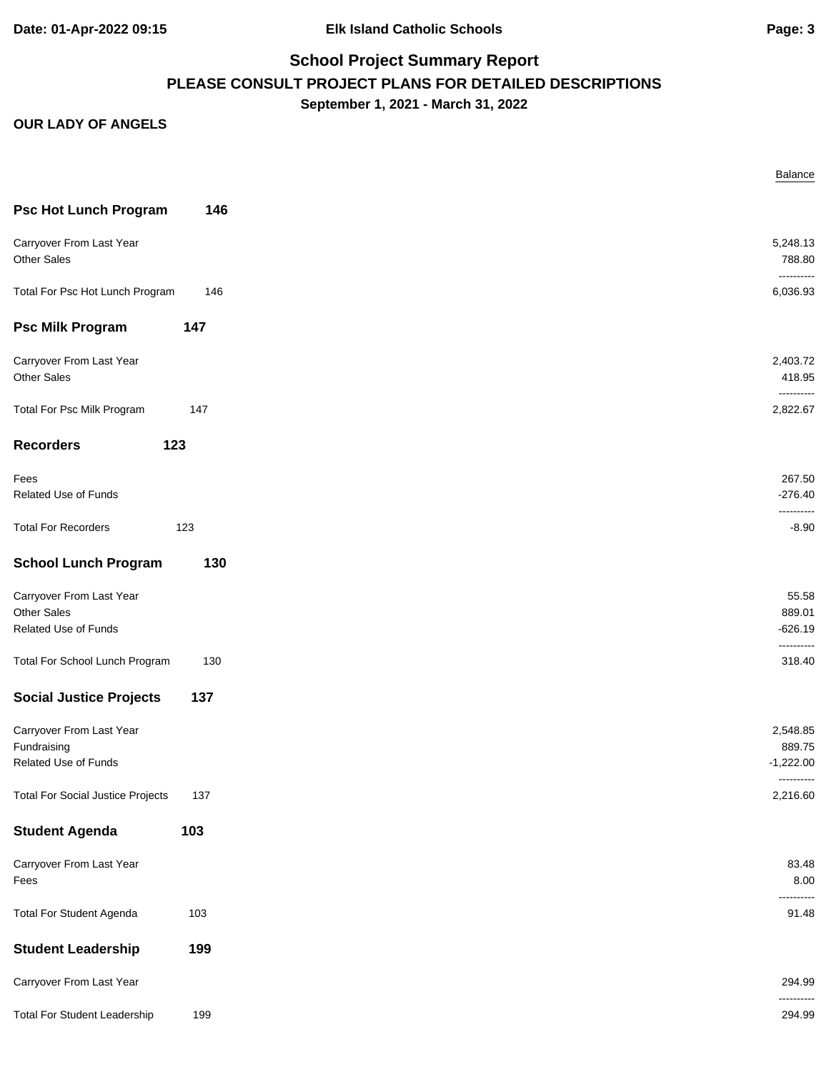**Date: 01-Apr-2022 09:15 Elk Island Catholic Schools Page: 3**

# **School Project Summary Report PLEASE CONSULT PROJECT PLANS FOR DETAILED DESCRIPTIONS September 1, 2021 - March 31, 2022**

|                                          |     | Balance              |
|------------------------------------------|-----|----------------------|
| <b>Psc Hot Lunch Program</b>             | 146 |                      |
|                                          |     |                      |
| Carryover From Last Year                 |     | 5,248.13             |
| Other Sales                              |     | 788.80<br>---------- |
| Total For Psc Hot Lunch Program          | 146 | 6,036.93             |
|                                          |     |                      |
| <b>Psc Milk Program</b>                  | 147 |                      |
| Carryover From Last Year                 |     | 2,403.72             |
| <b>Other Sales</b>                       |     | 418.95               |
|                                          |     | ----------           |
| Total For Psc Milk Program               | 147 | 2,822.67             |
|                                          |     |                      |
| <b>Recorders</b>                         | 123 |                      |
| Fees                                     |     | 267.50               |
| Related Use of Funds                     |     | $-276.40$            |
|                                          |     | ----------           |
| <b>Total For Recorders</b>               | 123 | $-8.90$              |
| <b>School Lunch Program</b>              | 130 |                      |
| Carryover From Last Year                 |     | 55.58                |
| <b>Other Sales</b>                       |     | 889.01               |
| Related Use of Funds                     |     | $-626.19$            |
|                                          |     | ----------           |
| Total For School Lunch Program           | 130 | 318.40               |
| <b>Social Justice Projects</b>           | 137 |                      |
| Carryover From Last Year                 |     |                      |
| Fundraising                              |     | 2,548.85<br>889.75   |
| Related Use of Funds                     |     | $-1,222.00$          |
|                                          |     | ----------           |
| <b>Total For Social Justice Projects</b> | 137 | 2,216.60             |
| <b>Student Agenda</b>                    | 103 |                      |
| Carryover From Last Year                 |     | 83.48                |
| Fees                                     |     | 8.00                 |
|                                          |     | .                    |
| <b>Total For Student Agenda</b>          | 103 | 91.48                |
| <b>Student Leadership</b>                | 199 |                      |
|                                          |     |                      |
| Carryover From Last Year                 |     | 294.99               |
|                                          |     | ----------           |
| <b>Total For Student Leadership</b>      | 199 | 294.99               |